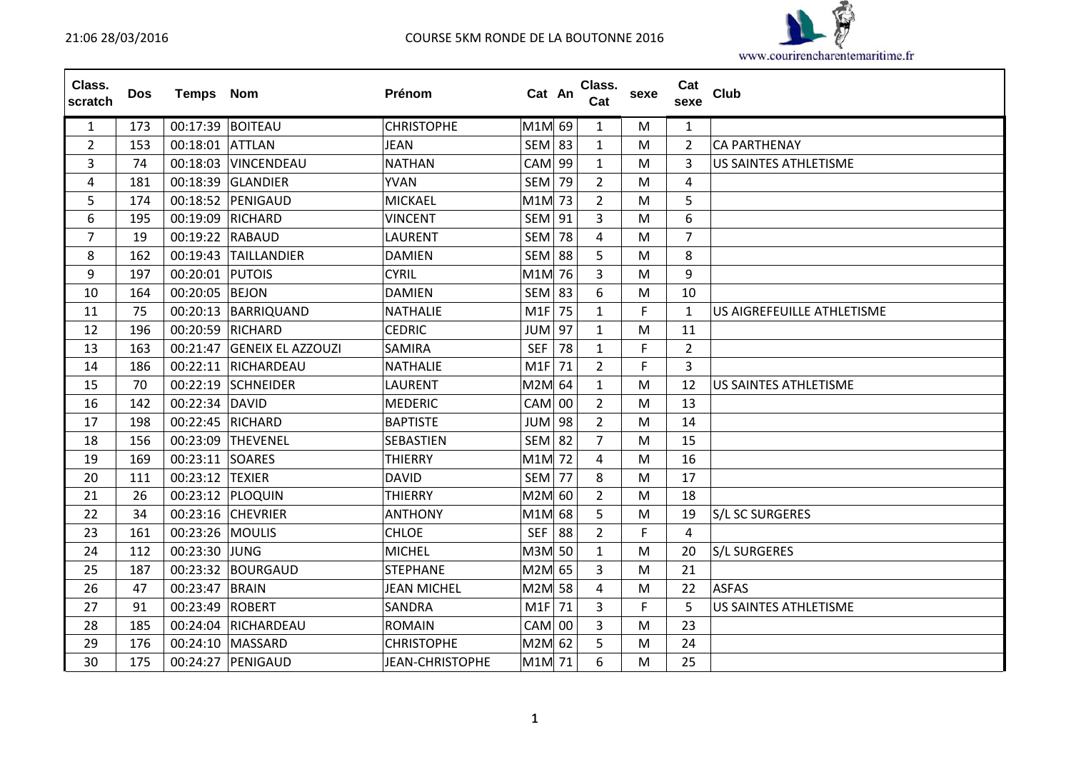

| Class.<br>scratch | <b>Dos</b> | Temps Nom        |                          | Prénom                 | Cat An        |    | Class.<br>Cat  | sexe | Cat<br>sexe    | <b>Club</b>                  |
|-------------------|------------|------------------|--------------------------|------------------------|---------------|----|----------------|------|----------------|------------------------------|
| $\mathbf{1}$      | 173        | 00:17:39 BOITEAU |                          | <b>CHRISTOPHE</b>      | M1M 69        |    | 1              | M    | 1              |                              |
| $\overline{2}$    | 153        | 00:18:01 ATTLAN  |                          | <b>JEAN</b>            | $SEM$ 83      |    | $\mathbf{1}$   | M    | $\overline{2}$ | <b>CA PARTHENAY</b>          |
| 3                 | 74         | 00:18:03         | VINCENDEAU               | <b>NATHAN</b>          | CAM           | 99 | 1              | M    | 3              | US SAINTES ATHLETISME        |
| 4                 | 181        | 00:18:39         | GLANDIER                 | <b>YVAN</b>            | SEM           | 79 | $\overline{2}$ | M    | 4              |                              |
| 5                 | 174        |                  | 00:18:52 PENIGAUD        | <b>MICKAEL</b>         | M1M 73        |    | $\overline{2}$ | м    | 5              |                              |
| 6                 | 195        |                  | 00:19:09 RICHARD         | <b>VINCENT</b>         | <b>SEM 91</b> |    | 3              | M    | 6              |                              |
| $\overline{7}$    | 19         | 00:19:22 RABAUD  |                          | <b>LAURENT</b>         | SEM           | 78 | 4              | м    | $\overline{7}$ |                              |
| 8                 | 162        |                  | 00:19:43 TAILLANDIER     | <b>DAMIEN</b>          | <b>SEM 88</b> |    | 5              | M    | 8              |                              |
| 9                 | 197        | 00:20:01 PUTOIS  |                          | <b>CYRIL</b>           | M1M 76        |    | 3              | M    | 9              |                              |
| 10                | 164        | 00:20:05 BEJON   |                          | <b>DAMIEN</b>          | <b>SEM 83</b> |    | 6              | M    | 10             |                              |
| 11                | 75         |                  | 00:20:13 BARRIQUAND      | <b>NATHALIE</b>        | M1F           | 75 | $\mathbf{1}$   | F.   | $\mathbf{1}$   | US AIGREFEUILLE ATHLETISME   |
| 12                | 196        | 00:20:59 RICHARD |                          | <b>CEDRIC</b>          | $JUM$ 97      |    | $\mathbf{1}$   | M    | 11             |                              |
| 13                | 163        | 00:21:47         | <b>GENEIX EL AZZOUZI</b> | <b>SAMIRA</b>          | <b>SEF</b>    | 78 | $\mathbf{1}$   | F    | $\overline{2}$ |                              |
| 14                | 186        |                  | 00:22:11 RICHARDEAU      | <b>NATHALIE</b>        | M1F 71        |    | $\overline{2}$ | F    | 3              |                              |
| 15                | 70         |                  | 00:22:19 SCHNEIDER       | <b>LAURENT</b>         | M2M 64        |    | $\mathbf{1}$   | M    | 12             | <b>US SAINTES ATHLETISME</b> |
| 16                | 142        | 00:22:34 DAVID   |                          | <b>MEDERIC</b>         | $CAM$ 00      |    | $\overline{2}$ | M    | 13             |                              |
| 17                | 198        |                  | 00:22:45 RICHARD         | <b>BAPTISTE</b>        | JUM           | 98 | 2              | м    | 14             |                              |
| 18                | 156        |                  | 00:23:09 THEVENEL        | <b>SEBASTIEN</b>       | <b>SEM</b>    | 82 | $\overline{7}$ | м    | 15             |                              |
| 19                | 169        | 00:23:11 SOARES  |                          | <b>THIERRY</b>         | M1M 72        |    | 4              | м    | 16             |                              |
| 20                | 111        | 00:23:12         | <b>TEXIER</b>            | <b>DAVID</b>           | <b>SEM</b>    | 77 | 8              | M    | 17             |                              |
| 21                | 26         |                  | 00:23:12 PLOQUIN         | <b>THIERRY</b>         | M2M 60        |    | $\overline{2}$ | M    | 18             |                              |
| 22                | 34         |                  | 00:23:16 CHEVRIER        | <b>ANTHONY</b>         | M1M 68        |    | 5              | M    | 19             | <b>S/L SC SURGERES</b>       |
| 23                | 161        | 00:23:26 MOULIS  |                          | <b>CHLOE</b>           | <b>SEF</b>    | 88 | $\overline{2}$ | F    | 4              |                              |
| 24                | 112        | 00:23:30 JUNG    |                          | <b>MICHEL</b>          | M3M 50        |    | $\mathbf{1}$   | м    | 20             | <b>S/L SURGERES</b>          |
| 25                | 187        |                  | 00:23:32 BOURGAUD        | <b>STEPHANE</b>        | M2M 65        |    | 3              | M    | 21             |                              |
| 26                | 47         | 00:23:47         | <b>BRAIN</b>             | <b>JEAN MICHEL</b>     | M2M 58        |    | 4              | M    | 22             | <b>ASFAS</b>                 |
| 27                | 91         | 00:23:49         | <b>ROBERT</b>            | <b>SANDRA</b>          | $M1F$ 71      |    | 3              | F    | 5              | <b>US SAINTES ATHLETISME</b> |
| 28                | 185        |                  | 00:24:04 RICHARDEAU      | <b>ROMAIN</b>          | $CAM$ 00      |    | 3              | M    | 23             |                              |
| 29                | 176        |                  | 00:24:10 MASSARD         | <b>CHRISTOPHE</b>      | M2M 62        |    | 5              | M    | 24             |                              |
| 30                | 175        |                  | 00:24:27 PENIGAUD        | <b>JEAN-CHRISTOPHE</b> | M1M 71        |    | 6              | м    | 25             |                              |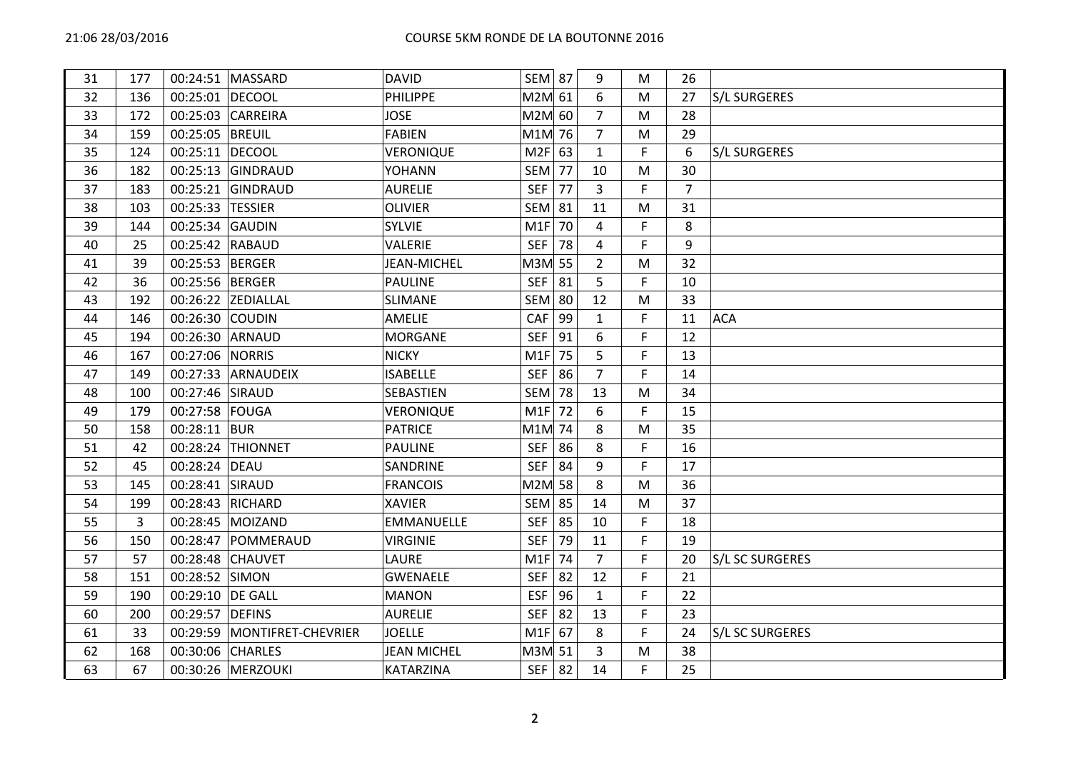| 31 | 177 |                 | 00:24:51   MASSARD  | <b>DAVID</b>       | <b>SEM 87</b> |    | 9              | M  | 26             |                     |
|----|-----|-----------------|---------------------|--------------------|---------------|----|----------------|----|----------------|---------------------|
| 32 | 136 | 00:25:01        | <b>DECOOL</b>       | <b>PHILIPPE</b>    | M2M 61        |    | 6              | M  | 27             | <b>S/L SURGERES</b> |
| 33 | 172 | 00:25:03        | <b>CARREIRA</b>     | <b>JOSE</b>        | M2M 60        |    | $\overline{7}$ | М  | 28             |                     |
| 34 | 159 | 00:25:05        | <b>BREUIL</b>       | <b>FABIEN</b>      | M1M 76        |    | $\overline{7}$ | M  | 29             |                     |
| 35 | 124 | 00:25:11        | <b>DECOOL</b>       | VERONIQUE          | $M2F$ 63      |    | $\mathbf{1}$   | F  | 6              | <b>S/L SURGERES</b> |
| 36 | 182 | 00:25:13        | GINDRAUD            | YOHANN             | SEM           | 77 | 10             | M  | 30             |                     |
| 37 | 183 | 00:25:21        | GINDRAUD            | <b>AURELIE</b>     | <b>SEF</b>    | 77 | 3              | F. | $\overline{7}$ |                     |
| 38 | 103 | 00:25:33        | <b>TESSIER</b>      | <b>OLIVIER</b>     | <b>SEM 81</b> |    | 11             | M  | 31             |                     |
| 39 | 144 | 00:25:34        | <b>GAUDIN</b>       | <b>SYLVIE</b>      | M1F           | 70 | 4              | F  | 8              |                     |
| 40 | 25  | 00:25:42 RABAUD |                     | VALERIE            | <b>SEF</b>    | 78 | 4              | F. | 9              |                     |
| 41 | 39  | 00:25:53 BERGER |                     | <b>JEAN-MICHEL</b> | M3M 55        |    | $\overline{2}$ | M  | 32             |                     |
| 42 | 36  | 00:25:56        | BERGER              | <b>PAULINE</b>     | <b>SEF</b>    | 81 | 5              | F  | 10             |                     |
| 43 | 192 |                 | 00:26:22 ZEDIALLAL  | <b>SLIMANE</b>     | <b>SEM 80</b> |    | 12             | M  | 33             |                     |
| 44 | 146 | 00:26:30        | <b>COUDIN</b>       | <b>AMELIE</b>      | <b>CAF</b>    | 99 | 1              | F  | 11             | <b>ACA</b>          |
| 45 | 194 | 00:26:30 ARNAUD |                     | <b>MORGANE</b>     | <b>SEF</b>    | 91 | 6              | F  | 12             |                     |
| 46 | 167 | 00:27:06        | <b>NORRIS</b>       | <b>NICKY</b>       | M1F           | 75 | 5              | F  | 13             |                     |
| 47 | 149 |                 | 00:27:33 ARNAUDEIX  | <b>ISABELLE</b>    | <b>SEF</b>    | 86 | $\overline{7}$ | F  | 14             |                     |
| 48 | 100 | 00:27:46 SIRAUD |                     | SEBASTIEN          | SEM           | 78 | 13             | M  | 34             |                     |
| 49 | 179 | 00:27:58        | FOUGA               | <b>VERONIQUE</b>   | M1F           | 72 | 6              | F  | 15             |                     |
| 50 | 158 | 00:28:11        | <b>BUR</b>          | <b>PATRICE</b>     | M1M 74        |    | 8              | M  | 35             |                     |
| 51 | 42  | 00:28:24        | <b>THIONNET</b>     | <b>PAULINE</b>     | <b>SEF</b>    | 86 | 8              | F  | 16             |                     |
| 52 | 45  | 00:28:24        | DEAU                | SANDRINE           | <b>SEF</b>    | 84 | 9              | F. | 17             |                     |
| 53 | 145 | 00:28:41 SIRAUD |                     | <b>FRANCOIS</b>    | M2M 58        |    | 8              | M  | 36             |                     |
| 54 | 199 | 00:28:43        | <b>RICHARD</b>      | <b>XAVIER</b>      | <b>SEM 85</b> |    | 14             | M  | 37             |                     |
| 55 | 3   | 00:28:45        | MOIZAND             | <b>EMMANUELLE</b>  | <b>SEF</b>    | 85 | 10             | F. | 18             |                     |
| 56 | 150 | 00:28:47        | POMMERAUD           | <b>VIRGINIE</b>    | <b>SEF</b>    | 79 | 11             | F. | 19             |                     |
| 57 | 57  | 00:28:48        | <b>CHAUVET</b>      | LAURE              | M1F           | 74 | $\overline{7}$ | F  | 20             | S/L SC SURGERES     |
| 58 | 151 | 00:28:52        | SIMON               | <b>GWENAELE</b>    | <b>SEF</b>    | 82 | 12             | F  | 21             |                     |
| 59 | 190 | 00:29:10        | <b>DE GALL</b>      | <b>MANON</b>       | <b>ESF</b>    | 96 | $\mathbf{1}$   | F  | 22             |                     |
| 60 | 200 | 00:29:57        | <b>DEFINS</b>       | <b>AURELIE</b>     | <b>SEF</b>    | 82 | 13             | F. | 23             |                     |
| 61 | 33  | 00:29:59        | MONTIFRET-CHEVRIER  | <b>JOELLE</b>      | $M1F$ 67      |    | 8              | F. | 24             | S/L SC SURGERES     |
| 62 | 168 | 00:30:06        | <b>CHARLES</b>      | <b>JEAN MICHEL</b> | M3M 51        |    | 3              | M  | 38             |                     |
| 63 | 67  |                 | 00:30:26   MERZOUKI | <b>KATARZINA</b>   | $SEF$ 82      |    | 14             | F. | 25             |                     |